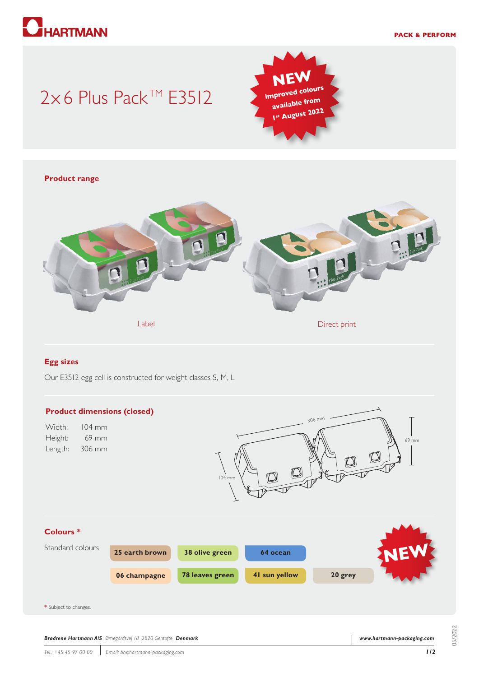

## 2×6 Plus Pack™ E3512



# **Product range** Label Direct print Contact Print Contact Print Direct print

#### **Egg sizes**

Our E3512 egg cell is constructed for weight classes S, M, L



05/2022